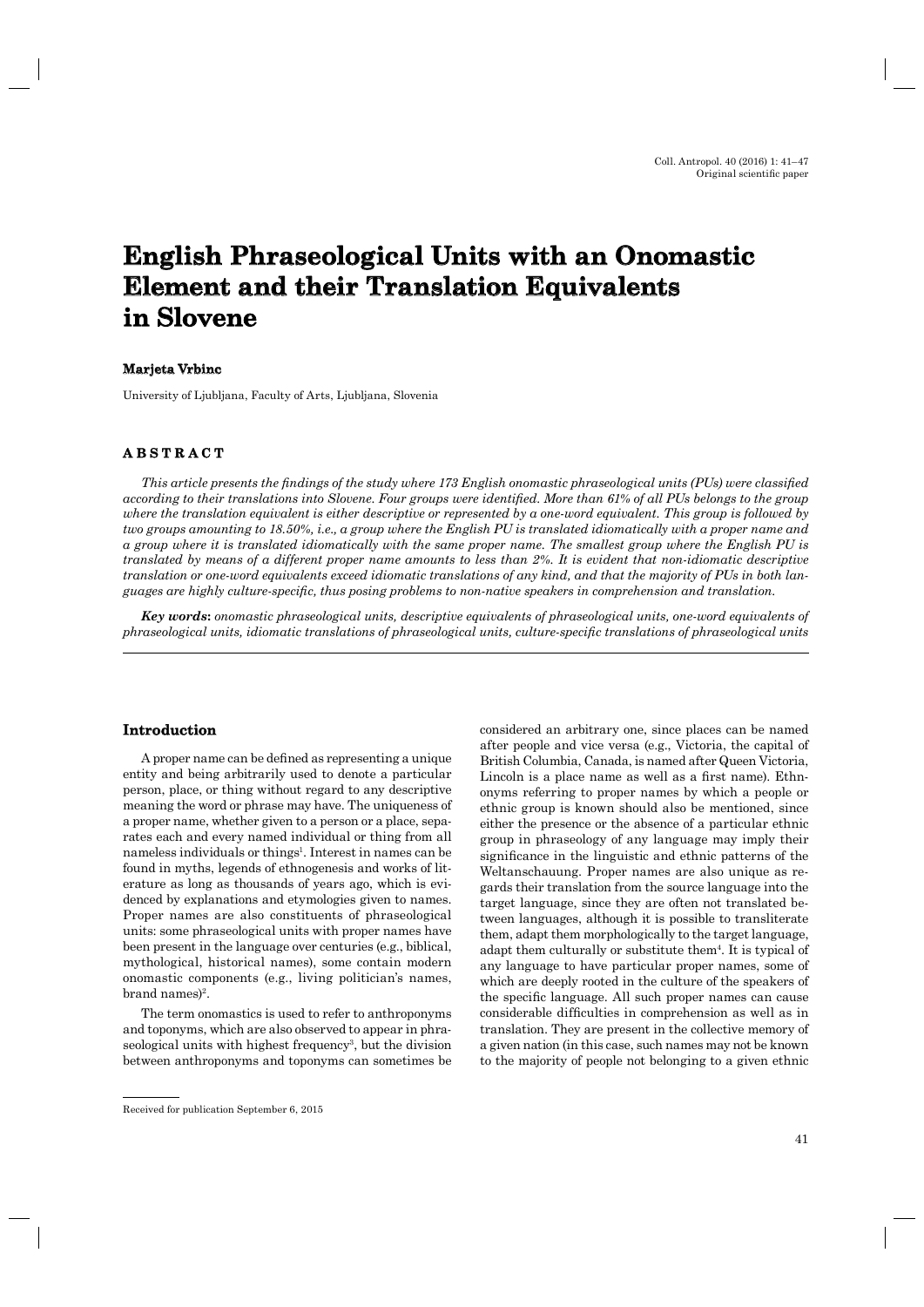# **English Phraseological Units with an Onomastic nglish Element and their Translation Equivalents in Slovene**

## **Marjeta Vrbinc arjeta**

University of Ljubljana, Faculty of Arts, Ljubljana, Slovenia

## **ABSTRACT B S T R A C T**

*This article presents the findings of the study where 173 English onomastic phraseological units (PUs) were classified according to their translations into Slovene. Four groups were identified. More than 61% of all PUs belongs to the group where the translation equivalent is either descriptive or represented by a one-word equivalent. This group is followed by two groups amounting to 18.50%, i.e., a group where the English PU is translated idiomatically with a proper name and a group where it is translated idiomatically with the same proper name. The smallest group where the English PU is translated by means of a different proper name amounts to less than 2%. It is evident that non-idiomatic descriptive translation or one-word equivalents exceed idiomatic translations of any kind, and that the majority of PUs in both languages are highly culture-specifi c, thus posing problems to non-native speakers in comprehension and translation.*

*Key words***:** *onomastic phraseological units, descriptive equivalents of phraseological units, one-word equivalents of phraseological units, idiomatic translations of phraseological units, culture-specific translations of phraseological units* 

# **Introduction ntroduction**

A proper name can be defined as representing a unique entity and being arbitrarily used to denote a particular person, place, or thing without regard to any descriptive meaning the word or phrase may have. The uniqueness of a proper name, whether given to a person or a place, separates each and every named individual or thing from all nameless individuals or things<sup>1</sup>. Interest in names can be found in myths, legends of ethnogenesis and works of literature as long as thousands of years ago, which is evidenced by explanations and etymologies given to names. Proper names are also constituents of phraseological units: some phraseological units with proper names have been present in the language over centuries (e.g., biblical, mythological, historical names), some contain modern onomastic components (e.g., living politician's names, brand names)<sup>2</sup>.

The term onomastics is used to refer to anthroponyms and toponyms, which are also observed to appear in phraseological units with highest frequency<sup>3</sup>, but the division between anthroponyms and toponyms can sometimes be considered an arbitrary one, since places can be named after people and vice versa (e.g., Victoria, the capital of British Columbia, Canada, is named after Queen Victoria, Lincoln is a place name as well as a first name). Ethnonyms referring to proper names by which a people or ethnic group is known should also be mentioned, since either the presence or the absence of a particular ethnic group in phraseology of any language may imply their significance in the linguistic and ethnic patterns of the Weltanschauung. Proper names are also unique as regards their translation from the source language into the target language, since they are often not translated between languages, although it is possible to transliterate them, adapt them morphologically to the target language, adapt them culturally or substitute them4. It is typical of any language to have particular proper names, some of which are deeply rooted in the culture of the speakers of the specific language. All such proper names can cause considerable difficulties in comprehension as well as in translation. They are present in the collective memory of a given nation (in this case, such names may not be known to the majority of people not belonging to a given ethnic

Received for publication September 6, 2015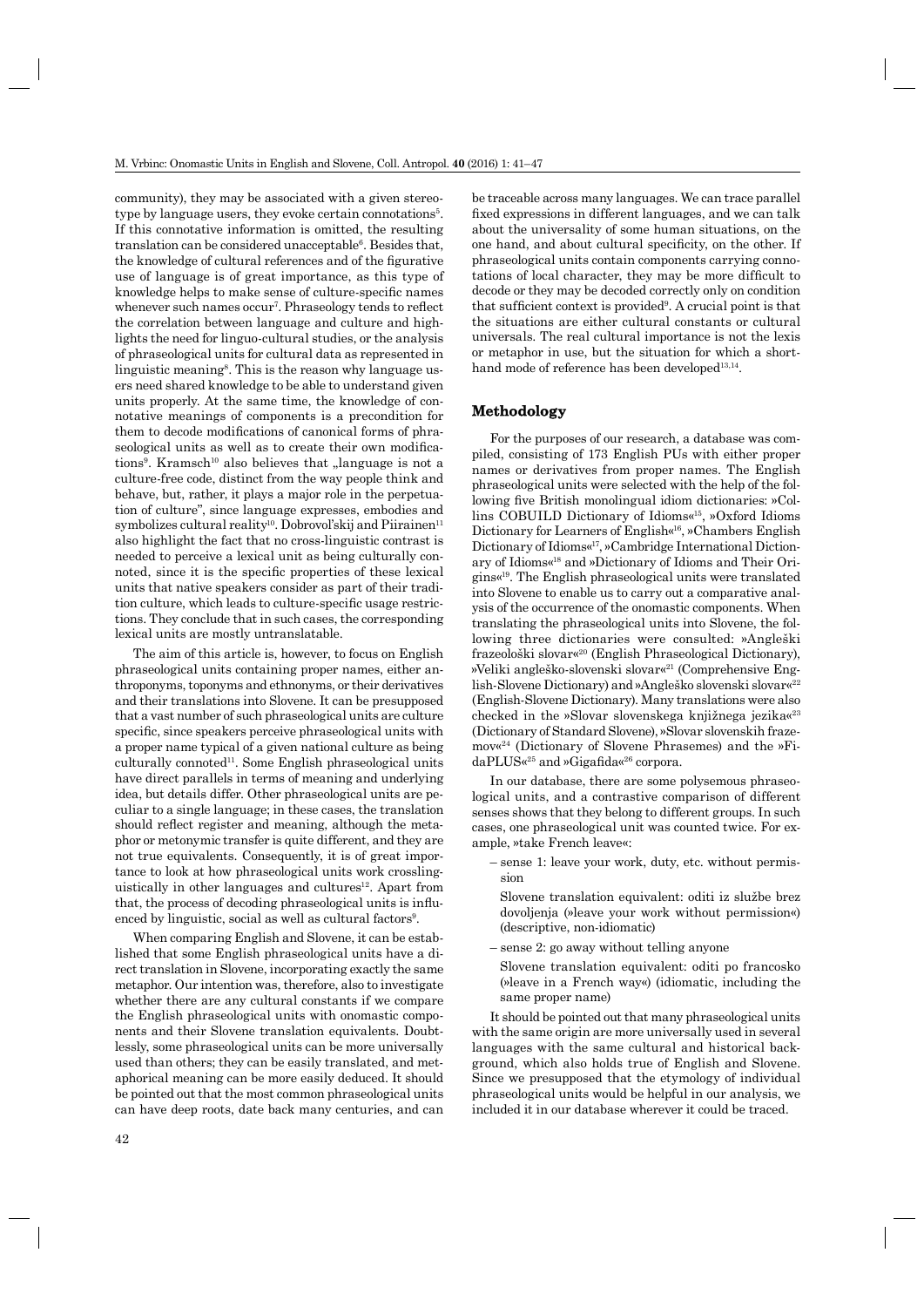community), they may be associated with a given stereotype by language users, they evoke certain connotations<sup>5</sup>. If this connotative information is omitted, the resulting translation can be considered unacceptable<sup>6</sup>. Besides that, the knowledge of cultural references and of the figurative use of language is of great importance, as this type of knowledge helps to make sense of culture-specific names whenever such names occur<sup>7</sup>. Phraseology tends to reflect the correlation between language and culture and highlights the need for linguo-cultural studies, or the analysis of phraseological units for cultural data as represented in linguistic meaning<sup>8</sup>. This is the reason why language users need shared knowledge to be able to understand given units properly. At the same time, the knowledge of connotative meanings of components is a precondition for them to decode modifications of canonical forms of phraseological units as well as to create their own modifications<sup>9</sup>. Kramsch<sup>10</sup> also believes that "language is not a culture-free code, distinct from the way people think and behave, but, rather, it plays a major role in the perpetuation of culture", since language expresses, embodies and symbolizes cultural reality<sup>10</sup>. Dobrovol'skij and Piirainen<sup>11</sup> also highlight the fact that no cross-linguistic contrast is needed to perceive a lexical unit as being culturally connoted, since it is the specific properties of these lexical units that native speakers consider as part of their tradition culture, which leads to culture-specific usage restrictions. They conclude that in such cases, the corresponding lexical units are mostly untranslatable.

The aim of this article is, however, to focus on English phraseological units containing proper names, either anthroponyms, toponyms and ethnonyms, or their derivatives and their translations into Slovene. It can be presupposed that a vast number of such phraseological units are culture specific, since speakers perceive phraseological units with a proper name typical of a given national culture as being  $culturally connected<sup>11</sup>. Some English phraseological units$ have direct parallels in terms of meaning and underlying idea, but details differ. Other phraseological units are peculiar to a single language; in these cases, the translation should reflect register and meaning, although the metaphor or metonymic transfer is quite different, and they are not true equivalents. Consequently, it is of great importance to look at how phraseological units work crosslinguistically in other languages and cultures<sup>12</sup>. Apart from that, the process of decoding phraseological units is influenced by linguistic, social as well as cultural factors<sup>9</sup>.

When comparing English and Slovene, it can be established that some English phraseological units have a direct translation in Slovene, incorporating exactly the same metaphor. Our intention was, therefore, also to investigate whether there are any cultural constants if we compare the English phraseological units with onomastic components and their Slovene translation equivalents. Doubtlessly, some phraseological units can be more universally used than others; they can be easily translated, and metaphorical meaning can be more easily deduced. It should be pointed out that the most common phraseological units can have deep roots, date back many centuries, and can be traceable across many languages. We can trace parallel fixed expressions in different languages, and we can talk about the universality of some human situations, on the one hand, and about cultural specificity, on the other. If phraseological units contain components carrying connotations of local character, they may be more difficult to decode or they may be decoded correctly only on condition that sufficient context is provided<sup>9</sup>. A crucial point is that the situations are either cultural constants or cultural universals. The real cultural importance is not the lexis or metaphor in use, but the situation for which a shorthand mode of reference has been developed<sup>13,14</sup>.

#### **Methodology ethodology**

For the purposes of our research, a database was compiled, consisting of 173 English PUs with either proper names or derivatives from proper names. The English phraseological units were selected with the help of the following five British monolingual idiom dictionaries: »Collins COBUILD Dictionary of Idioms«15, »Oxford Idioms Dictionary for Learners of English«16, »Chambers English Dictionary of Idioms«17, »Cambridge International Dictionary of Idioms«18 and »Dictionary of Idioms and Their Origins«19. The English phraseological units were translated into Slovene to enable us to carry out a comparative analysis of the occurrence of the onomastic components. When translating the phraseological units into Slovene, the following three dictionaries were consulted: »Angleški frazeološki slovar«20 (English Phraseological Dictionary), »Veliki angleško-slovenski slovar«21 (Comprehensive English-Slovene Dictionary) and »Angleško slovenski slovar«22 (English-Slovene Dictionary). Many translations were also checked in the »Slovar slovenskega knjižnega jezika«23 (Dictionary of Standard Slovene), »Slovar slovenskih frazemov«24 (Dictionary of Slovene Phrasemes) and the »Fi $daPLUS\alpha^{25}$  and »Gigafida«<sup>26</sup> corpora.

In our database, there are some polysemous phraseological units, and a contrastive comparison of different senses shows that they belong to different groups. In such cases, one phraseological unit was counted twice. For example, »take French leave«:

- sense 1: leave your work, duty, etc. without permission
	- Slovene translation equivalent: oditi iz službe brez dovoljenja (»leave your work without permission«) (descriptive, non-idiomatic)
- sense 2: go away without telling anyone
- Slovene translation equivalent: oditi po francosko (»leave in a French way«) (idiomatic, including the same proper name)

It should be pointed out that many phraseological units with the same origin are more universally used in several languages with the same cultural and historical background, which also holds true of English and Slovene. Since we presupposed that the etymology of individual phraseological units would be helpful in our analysis, we included it in our database wherever it could be traced.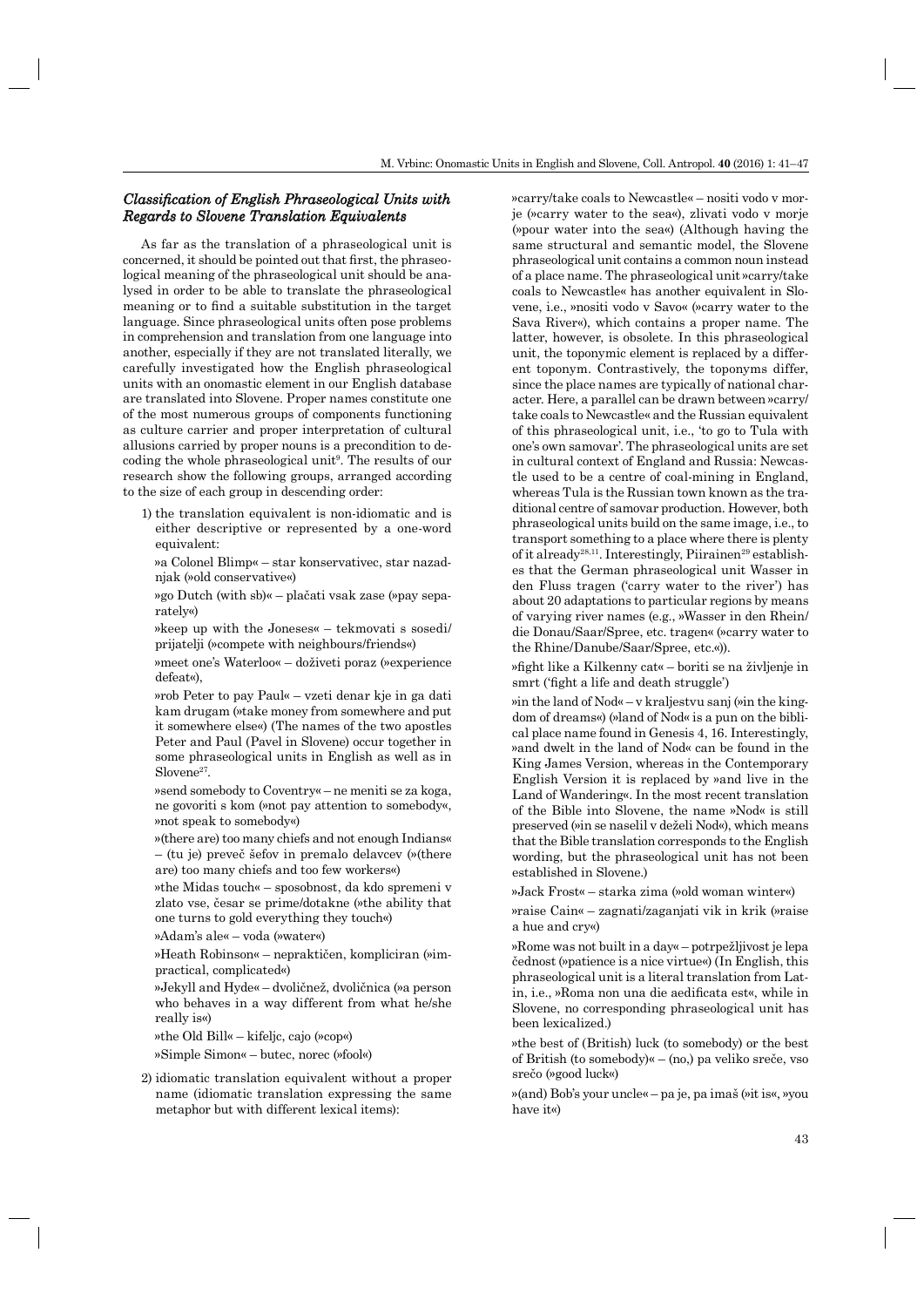# *Classification of English Phraseological Units with Regards to Slovene Translation Equivalents egards*

As far as the translation of a phraseological unit is concerned, it should be pointed out that first, the phraseological meaning of the phraseological unit should be analysed in order to be able to translate the phraseological meaning or to find a suitable substitution in the target language. Since phraseological units often pose problems in comprehension and translation from one language into another, especially if they are not translated literally, we carefully investigated how the English phraseological units with an onomastic element in our English database are translated into Slovene. Proper names constitute one of the most numerous groups of components functioning as culture carrier and proper interpretation of cultural allusions carried by proper nouns is a precondition to decoding the whole phraseological unit<sup>9</sup>. The results of our research show the following groups, arranged according to the size of each group in descending order:

1) the translation equivalent is non-idiomatic and is either descriptive or represented by a one-word equivalent:

»a Colonel Blimp« – star konservativec, star nazadnjak (»old conservative«)

»go Dutch (with sb)« – plačati vsak zase (»pay separately«)

»keep up with the Joneses« – tekmovati s sosedi/ prijatelji (»compete with neighbours/friends«)

»meet one's Waterloo« – doživeti poraz (»experience defeat«),

»rob Peter to pay Paul« – vzeti denar kje in ga dati kam drugam (»take money from somewhere and put it somewhere else«) (The names of the two apostles Peter and Paul (Pavel in Slovene) occur together in some phraseological units in English as well as in  $Slovene<sup>27</sup>$ .

»send somebody to Coventry« – ne meniti se za koga, ne govoriti s kom (»not pay attention to somebody«, »not speak to somebody«)

»(there are) too many chiefs and not enough Indians« – (tu je) preveč šefov in premalo delavcev (»(there are) too many chiefs and too few workers«)

»the Midas touch« – sposobnost, da kdo spremeni v zlato vse, česar se prime/dotakne (»the ability that one turns to gold everything they touch«)

»Adam's ale« – voda (»water«)

»Heath Robinson« – nepraktičen, kompliciran (»impractical, complicated«)

»Jekyll and Hyde« – dvoličnež, dvoličnica (»a person who behaves in a way different from what he/she really is«)

»the Old Bill« – kifeljc, cajo (»cop«)

»Simple Simon« – butec, norec (»fool«)

2) idiomatic translation equivalent without a proper name (idiomatic translation expressing the same metaphor but with different lexical items):

»carry/take coals to Newcastle« – nositi vodo v morje (»carry water to the sea«), zlivati vodo v morje (»pour water into the sea«) (Although having the same structural and semantic model, the Slovene phraseological unit contains a common noun instead of a place name. The phraseological unit »carry/take coals to Newcastle« has another equivalent in Slovene, i.e., »nositi vodo v Savo« (»carry water to the Sava River«), which contains a proper name. The latter, however, is obsolete. In this phraseological unit, the toponymic element is replaced by a different toponym. Contrastively, the toponyms differ, since the place names are typically of national character. Here, a parallel can be drawn between »carry/ take coals to Newcastle« and the Russian equivalent of this phraseological unit, i.e., 'to go to Tula with one's own samovar'. The phraseological units are set in cultural context of England and Russia: Newcastle used to be a centre of coal-mining in England, whereas Tula is the Russian town known as the traditional centre of samovar production. However, both phraseological units build on the same image, i.e., to transport something to a place where there is plenty of it already<sup>28,11</sup>. Interestingly, Piirainen<sup>29</sup> establishes that the German phraseological unit Wasser in den Fluss tragen ('carry water to the river') has about 20 adaptations to particular regions by means of varying river names (e.g., »Wasser in den Rhein/ die Donau/Saar/Spree, etc. tragen« (»carry water to the Rhine/Danube/Saar/Spree, etc.«)).

»fight like a Kilkenny cat« – boriti se na življenje in smrt ('fight a life and death struggle')

»in the land of Nod« – v kraljestvu sanj (»in the kingdom of dreams«) (»land of Nod« is a pun on the biblical place name found in Genesis 4, 16. Interestingly, »and dwelt in the land of Nod« can be found in the King James Version, whereas in the Contemporary English Version it is replaced by »and live in the Land of Wandering«. In the most recent translation of the Bible into Slovene, the name »Nod« is still preserved (»in se naselil v deželi Nod«), which means that the Bible translation corresponds to the English wording, but the phraseological unit has not been established in Slovene.)

»Jack Frost« – starka zima (»old woman winter«)

»raise Cain« – zagnati/zaganjati vik in krik (»raise a hue and cry«)

»Rome was not built in a day« – potrpežljivost je lepa čednost (»patience is a nice virtue«) (In English, this phraseological unit is a literal translation from Latin, i.e., »Roma non una die aedificata est«, while in Slovene, no corresponding phraseological unit has been lexicalized.)

»the best of (British) luck (to somebody) or the best of British (to somebody)« – (no,) pa veliko sreče, vso srečo (»good luck«)

»(and) Bob's your uncle« – pa je, pa imaš (»it is«, »you have it«)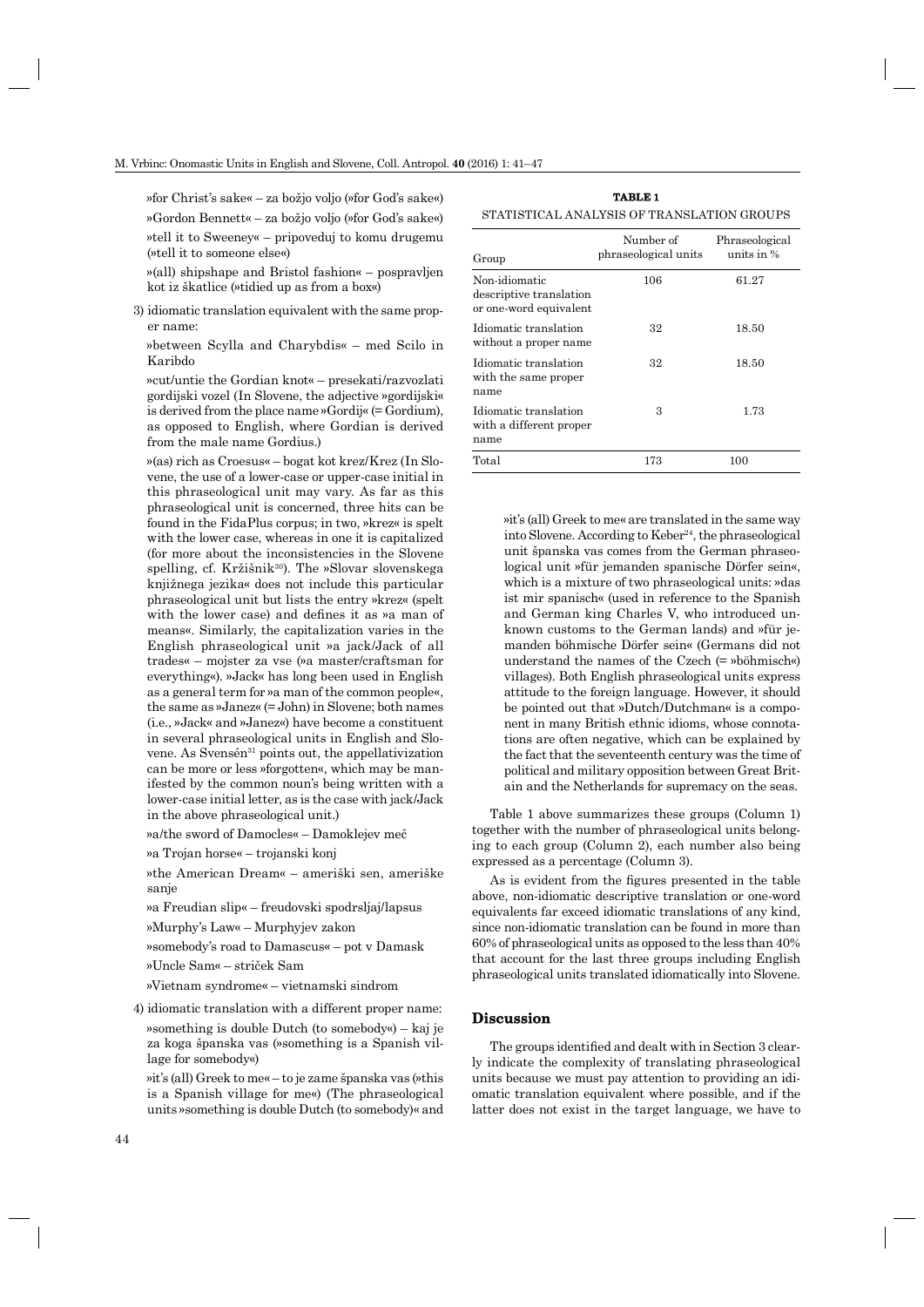»for Christ's sake« – za božjo voljo (»for God's sake«) »Gordon Bennett« – za božjo voljo (»for God's sake«)

»tell it to Sweeney« – pripoveduj to komu drugemu (»tell it to someone else«)

»(all) shipshape and Bristol fashion« – pospravljen kot iz škatlice (»tidied up as from a box«)

3) idiomatic translation equivalent with the same proper name:

»between Scylla and Charybdis« – med Scilo in Karibdo

»cut/untie the Gordian knot« – presekati/razvozlati gordijski vozel (In Slovene, the adjective »gordijski« is derived from the place name »Gordij« (= Gordium), as opposed to English, where Gordian is derived from the male name Gordius.)

»(as) rich as Croesus« – bogat kot krez/Krez (In Slovene, the use of a lower-case or upper-case initial in this phraseological unit may vary. As far as this phraseological unit is concerned, three hits can be found in the FidaPlus corpus; in two, »krez« is spelt with the lower case, whereas in one it is capitalized (for more about the inconsistencies in the Slovene spelling, cf. Kržišnik<sup>30</sup>). The »Slovar slovenskega knjižnega jezika« does not include this particular phraseological unit but lists the entry »krez« (spelt with the lower case) and defines it as »a man of means«. Similarly, the capitalization varies in the English phraseological unit »a jack/Jack of all trades« – mojster za vse (»a master/craftsman for everything«). »Jack« has long been used in English as a general term for »a man of the common people«, the same as »Janez« (= John) in Slovene; both names (i.e., »Jack« and »Janez«) have become a constituent in several phraseological units in English and Slovene. As Svensén<sup>31</sup> points out, the appellativization can be more or less »forgotten«, which may be manifested by the common noun's being written with a lower-case initial letter, as is the case with jack/Jack in the above phraseological unit.)

»a/the sword of Damocles« – Damoklejev meč

»a Trojan horse« – trojanski konj

»the American Dream« – ameriški sen, ameriške sanje

»a Freudian slip« – freudovski spodrsljaj/lapsus

»Murphy's Law« – Murphyjev zakon

»somebody's road to Damascus« – pot v Damask

»Uncle Sam« – striček Sam

»Vietnam syndrome« – vietnamski sindrom

4) idiomatic translation with a different proper name: »something is double Dutch (to somebody«) – kaj je za koga španska vas (»something is a Spanish village for somebody«)

»it's (all) Greek to me« – to je zame španska vas (»this is a Spanish village for me«) (The phraseological units »something is double Dutch (to somebody)« and

**TABLE 1** STATISTICAL ANALYSIS OF TRANSLATION GROUPS

| Group                                                              | Number of<br>phraseological units | Phraseological<br>units in $%$ |
|--------------------------------------------------------------------|-----------------------------------|--------------------------------|
| Non-idiomatic<br>descriptive translation<br>or one-word equivalent | 106                               | 61.27                          |
| Idiomatic translation<br>without a proper name                     | 32                                | 18.50                          |
| Idiomatic translation<br>with the same proper<br>name              | 32                                | 18.50                          |
| Idiomatic translation<br>with a different proper<br>name           | 3                                 | 1.73                           |
| Total                                                              | 173                               | 100                            |

»it's (all) Greek to me« are translated in the same way into Slovene. According to  $Keber<sup>24</sup>$ , the phraseological unit španska vas comes from the German phraseological unit »für jemanden spanische Dörfer sein«, which is a mixture of two phraseological units: »das ist mir spanisch« (used in reference to the Spanish and German king Charles V, who introduced unknown customs to the German lands) and »für jemanden böhmische Dörfer sein« (Germans did not understand the names of the Czech (= »böhmisch«) villages). Both English phraseological units express attitude to the foreign language. However, it should be pointed out that »Dutch/Dutchman« is a component in many British ethnic idioms, whose connotations are often negative, which can be explained by the fact that the seventeenth century was the time of political and military opposition between Great Britain and the Netherlands for supremacy on the seas.

Table 1 above summarizes these groups (Column 1) together with the number of phraseological units belonging to each group (Column 2), each number also being expressed as a percentage (Column 3).

As is evident from the figures presented in the table above, non-idiomatic descriptive translation or one-word equivalents far exceed idiomatic translations of any kind, since non-idiomatic translation can be found in more than 60% of phraseological units as opposed to the less than 40% that account for the last three groups including English phraseological units translated idiomatically into Slovene.

#### **Discussion iscussion**

The groups identified and dealt with in Section 3 clearly indicate the complexity of translating phraseological units because we must pay attention to providing an idiomatic translation equivalent where possible, and if the latter does not exist in the target language, we have to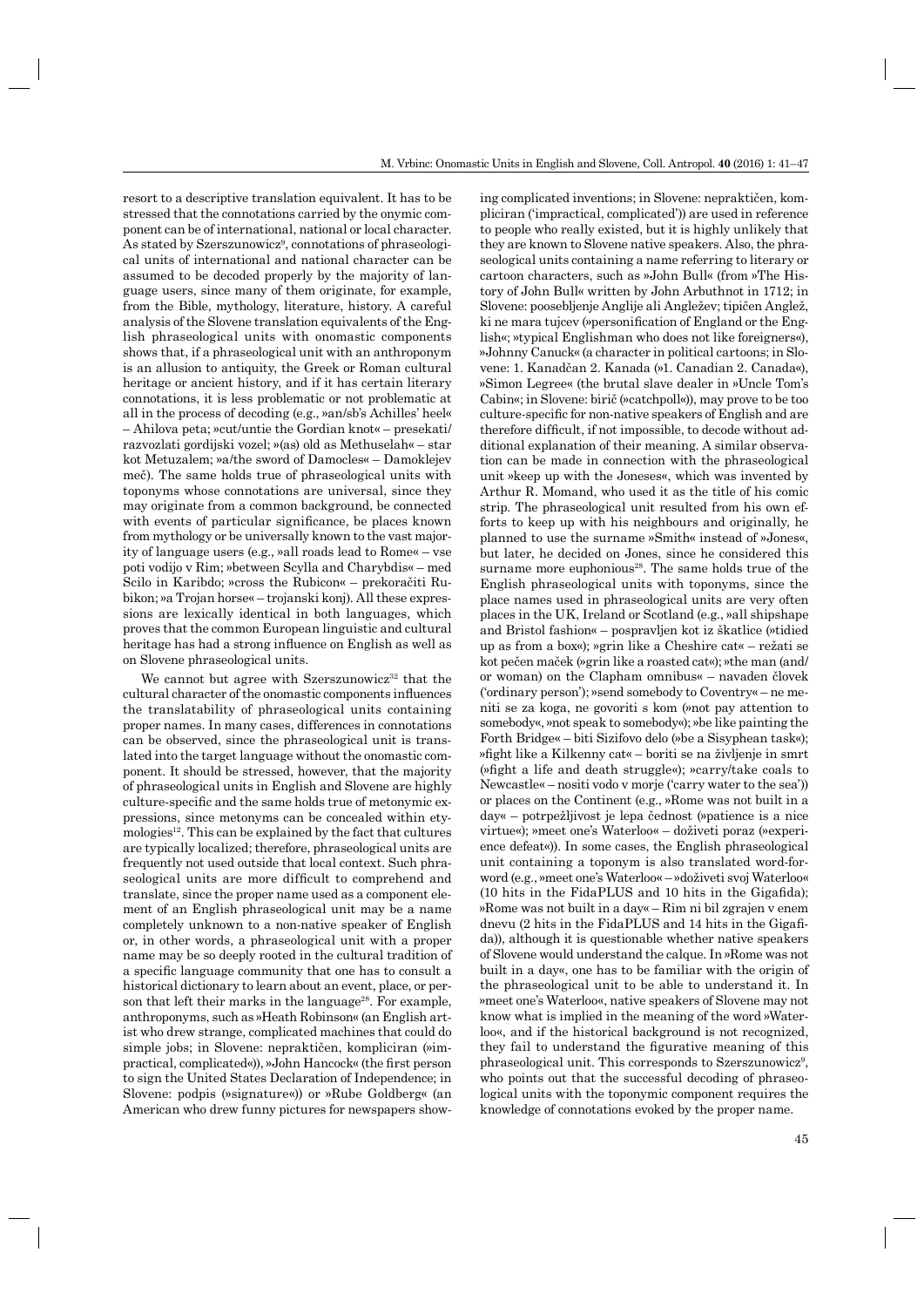resort to a descriptive translation equivalent. It has to be stressed that the connotations carried by the onymic component can be of international, national or local character. As stated by Szerszunowicz<sup>9</sup>, connotations of phraseological units of international and national character can be assumed to be decoded properly by the majority of language users, since many of them originate, for example, from the Bible, mythology, literature, history. A careful analysis of the Slovene translation equivalents of the English phraseological units with onomastic components shows that, if a phraseological unit with an anthroponym is an allusion to antiquity, the Greek or Roman cultural heritage or ancient history, and if it has certain literary connotations, it is less problematic or not problematic at all in the process of decoding (e.g., »an/sb's Achilles' heel« – Ahilova peta; »cut/untie the Gordian knot« – presekati/ razvozlati gordijski vozel; »(as) old as Methuselah« – star kot Metuzalem; »a/the sword of Damocles« – Damoklejev meč). The same holds true of phraseological units with toponyms whose connotations are universal, since they may originate from a common background, be connected with events of particular significance, be places known from mythology or be universally known to the vast majority of language users (e.g., »all roads lead to Rome« – vse poti vodijo v Rim; »between Scylla and Charybdis« – med Scilo in Karibdo; »cross the Rubicon« – prekoračiti Rubikon; »a Trojan horse« – trojanski konj). All these expressions are lexically identical in both languages, which proves that the common European linguistic and cultural heritage has had a strong influence on English as well as on Slovene phraseological units.

We cannot but agree with Szerszunowicz<sup>32</sup> that the cultural character of the onomastic components influences the translatability of phraseological units containing proper names. In many cases, differences in connotations can be observed, since the phraseological unit is translated into the target language without the onomastic component. It should be stressed, however, that the majority of phraseological units in English and Slovene are highly culture-specific and the same holds true of metonymic expressions, since metonyms can be concealed within ety $mologies<sup>12</sup>$ . This can be explained by the fact that cultures are typically localized; therefore, phraseological units are frequently not used outside that local context. Such phraseological units are more difficult to comprehend and translate, since the proper name used as a component element of an English phraseological unit may be a name completely unknown to a non-native speaker of English or, in other words, a phraseological unit with a proper name may be so deeply rooted in the cultural tradition of a specific language community that one has to consult a historical dictionary to learn about an event, place, or person that left their marks in the language<sup>28</sup>. For example, anthroponyms, such as »Heath Robinson« (an English artist who drew strange, complicated machines that could do simple jobs; in Slovene: nepraktičen, kompliciran (»impractical, complicated«)), »John Hancock« (the first person to sign the United States Declaration of Independence; in Slovene: podpis (»signature«)) or »Rube Goldberg« (an American who drew funny pictures for newspapers showing complicated inventions; in Slovene: nepraktičen, kompliciran ('impractical, complicated')) are used in reference to people who really existed, but it is highly unlikely that they are known to Slovene native speakers. Also, the phraseological units containing a name referring to literary or cartoon characters, such as »John Bull« (from »The History of John Bull« written by John Arbuthnot in 1712; in Slovene: poosebljenje Anglije ali Angležev; tipičen Anglež, ki ne mara tujcev (»personification of England or the English«; »typical Englishman who does not like foreigners«), »Johnny Canuck« (a character in political cartoons; in Slovene: 1. Kanadčan 2. Kanada (»1. Canadian 2. Canada«), »Simon Legree« (the brutal slave dealer in »Uncle Tom's Cabin«; in Slovene: birič (»catchpoll«)), may prove to be too culture-specific for non-native speakers of English and are therefore difficult, if not impossible, to decode without additional explanation of their meaning. A similar observation can be made in connection with the phraseological unit »keep up with the Joneses«, which was invented by Arthur R. Momand, who used it as the title of his comic strip. The phraseological unit resulted from his own efforts to keep up with his neighbours and originally, he planned to use the surname »Smith« instead of »Jones«, but later, he decided on Jones, since he considered this surname more euphonious<sup>28</sup>. The same holds true of the English phraseological units with toponyms, since the place names used in phraseological units are very often places in the UK, Ireland or Scotland (e.g., »all shipshape and Bristol fashion« – pospravljen kot iz škatlice (»tidied up as from a box«); »grin like a Cheshire cat« – režati se kot pečen maček (»grin like a roasted cat«); »the man (and/ or woman) on the Clapham omnibus« – navaden človek ('ordinary person'); »send somebody to Coventry« – ne meniti se za koga, ne govoriti s kom (»not pay attention to somebody«, »not speak to somebody«); »be like painting the Forth Bridge« – biti Sizifovo delo (»be a Sisyphean task«); »fight like a Kilkenny cat« – boriti se na življenje in smrt ( $\alpha$ ) ( $\beta$ ) ( $\beta$ ) fight a life and death struggle«); »carry/take coals to Newcastle« – nositi vodo v morje ('carry water to the sea')) or places on the Continent (e.g., »Rome was not built in a day« – potrpežljivost je lepa čednost (»patience is a nice virtue«); »meet one's Waterloo« – doživeti poraz (»experience defeat«)). In some cases, the English phraseological unit containing a toponym is also translated word-forword (e.g., »meet one's Waterloo« – »doživeti svoj Waterloo«  $(10 \text{ hits in the FidaPLUS and } 10 \text{ hits in the Gigafida});$ »Rome was not built in a day« – Rim ni bil zgrajen v enem dnevu (2 hits in the FidaPLUS and 14 hits in the Gigafida)), although it is questionable whether native speakers of Slovene would understand the calque. In »Rome was not built in a day«, one has to be familiar with the origin of the phraseological unit to be able to understand it. In »meet one's Waterloo«, native speakers of Slovene may not know what is implied in the meaning of the word »Waterloo«, and if the historical background is not recognized, they fail to understand the figurative meaning of this phraseological unit. This corresponds to Szerszunowicz<sup>9</sup>, who points out that the successful decoding of phraseological units with the toponymic component requires the knowledge of connotations evoked by the proper name.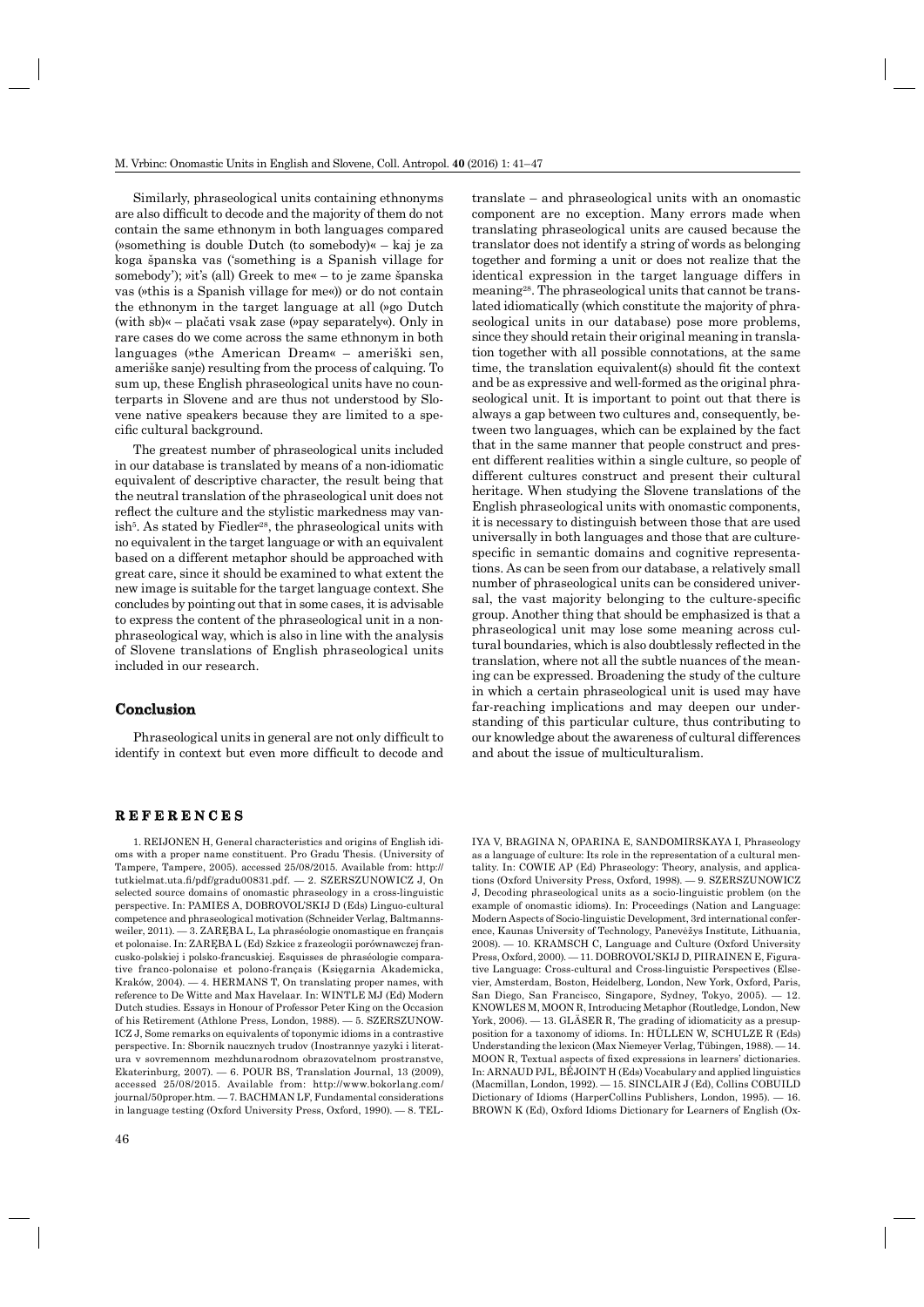Similarly, phraseological units containing ethnonyms are also difficult to decode and the majority of them do not contain the same ethnonym in both languages compared (»something is double Dutch (to somebody)« – kaj je za koga španska vas ('something is a Spanish village for somebody'); »it's (all) Greek to me« – to je zame španska vas (»this is a Spanish village for me«)) or do not contain the ethnonym in the target language at all (»go Dutch (with sb)« – plačati vsak zase (»pay separately«). Only in rare cases do we come across the same ethnonym in both languages (»the American Dream« – ameriški sen, ameriške sanje) resulting from the process of calquing. To sum up, these English phraseological units have no counterparts in Slovene and are thus not understood by Slovene native speakers because they are limited to a specific cultural background.

The greatest number of phraseological units included in our database is translated by means of a non-idiomatic equivalent of descriptive character, the result being that the neutral translation of the phraseological unit does not reflect the culture and the stylistic markedness may vanish<sup>5</sup>. As stated by Fiedler<sup>28</sup>, the phraseological units with no equivalent in the target language or with an equivalent based on a different metaphor should be approached with great care, since it should be examined to what extent the new image is suitable for the target language context. She concludes by pointing out that in some cases, it is advisable to express the content of the phraseological unit in a nonphraseological way, which is also in line with the analysis of Slovene translations of English phraseological units included in our research.

#### **Conclusion onclusion**

Phraseological units in general are not only difficult to identify in context but even more difficult to decode and translate – and phraseological units with an onomastic component are no exception. Many errors made when translating phraseological units are caused because the translator does not identify a string of words as belonging together and forming a unit or does not realize that the identical expression in the target language differs in meaning28. The phraseological units that cannot be translated idiomatically (which constitute the majority of phraseological units in our database) pose more problems, since they should retain their original meaning in translation together with all possible connotations, at the same time, the translation equivalent(s) should fit the context and be as expressive and well-formed as the original phraseological unit. It is important to point out that there is always a gap between two cultures and, consequently, between two languages, which can be explained by the fact that in the same manner that people construct and present different realities within a single culture, so people of different cultures construct and present their cultural heritage. When studying the Slovene translations of the English phraseological units with onomastic components, it is necessary to distinguish between those that are used universally in both languages and those that are culturespecific in semantic domains and cognitive representations. As can be seen from our database, a relatively small number of phraseological units can be considered universal, the vast majority belonging to the culture-specific group. Another thing that should be emphasized is that a phraseological unit may lose some meaning across cultural boundaries, which is also doubtlessly reflected in the translation, where not all the subtle nuances of the meaning can be expressed. Broadening the study of the culture in which a certain phraseological unit is used may have far-reaching implications and may deepen our understanding of this particular culture, thus contributing to our knowledge about the awareness of cultural differences and about the issue of multiculturalism.

## **REFERENCES E F E R E N C E S**

1. REIJONEN H, General characteristics and origins of English idioms with a proper name constituent. Pro Gradu Thesis. (University of Tampere, Tampere, 2005). accessed 25/08/2015. Available from: http:// tutkielmat.uta.fi /pdf/gradu00831.pdf. — 2. SZERSZUNOWICZ J, On selected source domains of onomastic phraseology in a cross-linguistic perspective. In: PAMIES A, DOBROVOL'SKIJ D (Eds) Linguo-cultural competence and phraseological motivation (Schneider Verlag, Baltmannsweiler, 2011). — 3. ZARĘBA L, La phraséologie onomastique en français et polonaise. In: ZARĘBA L (Ed) Szkice z frazeologii porównawczej francusko-polskiej i polsko-francuskiej. Esquisses de phraséologie comparative franco-polonaise et polono-français (Księgarnia Akademicka, Kraków, 2004). — 4. HERMANS T, On translating proper names, with reference to De Witte and Max Havelaar. In: WINTLE MJ (Ed) Modern Dutch studies. Essays in Honour of Professor Peter King on the Occasion of his Retirement (Athlone Press, London, 1988). — 5. SZERSZUNOW-ICZ J, Some remarks on equivalents of toponymic idioms in a contrastive perspective. In: Sbornik naucznych trudov (Inostrannye yazyki i literatura v sovremennom mezhdunarodnom obrazovatelnom prostranstve, Ekaterinburg, 2007). — 6. POUR BS, Translation Journal, 13 (2009), accessed 25/08/2015. Available from: http://www.bokorlang.com/ journal/50proper.htm. — 7. BACHMAN LF, Fundamental considerations in language testing (Oxford University Press, Oxford, 1990). — 8. TEL-

46

IYA V, BRAGINA N, OPARINA E, SANDOMIRSKAYA I, Phraseology as a language of culture: Its role in the representation of a cultural mentality. In: COWIE AP (Ed) Phraseology: Theory, analysis, and applications (Oxford University Press, Oxford, 1998). — 9. SZERSZUNOWICZ J, Decoding phraseological units as a socio-linguistic problem (on the example of onomastic idioms). In: Proceedings (Nation and Language: Modern Aspects of Socio-linguistic Development, 3rd international conference, Kaunas University of Technology, Panevėžys Institute, Lithuania, 2008). — 10. KRAMSCH C, Language and Culture (Oxford University Press, Oxford, 2000). — 11. DOBROVOL'SKIJ D, PIIRAINEN E, Figurative Language: Cross-cultural and Cross-linguistic Perspectives (Elsevier, Amsterdam, Boston, Heidelberg, London, New York, Oxford, Paris, San Diego, San Francisco, Singapore, Sydney, Tokyo, 2005). — 12. KNOWLES M, MOON R, Introducing Metaphor (Routledge, London, New York, 2006). — 13. GLÄSER R, The grading of idiomaticity as a presupposition for a taxonomy of idioms. In: HÜLLEN W, SCHULZE R (Eds) Understanding the lexicon (Max Niemeyer Verlag, Tübingen, 1988). — 14. MOON R, Textual aspects of fixed expressions in learners' dictionaries. In: ARNAUD PJL, BÉJOINT H (Eds) Vocabulary and applied linguistics (Macmillan, London, 1992). — 15. SINCLAIR J (Ed), Collins COBUILD Dictionary of Idioms (HarperCollins Publishers, London, 1995). -BROWN K (Ed), Oxford Idioms Dictionary for Learners of English (Ox